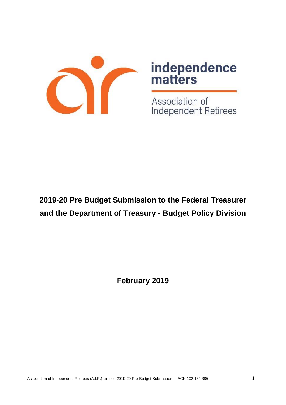

# independence<br>matters

Association of Independent Retirees

# **2019-20 Pre Budget Submission to the Federal Treasurer and the Department of Treasury - Budget Policy Division**

**February 2019**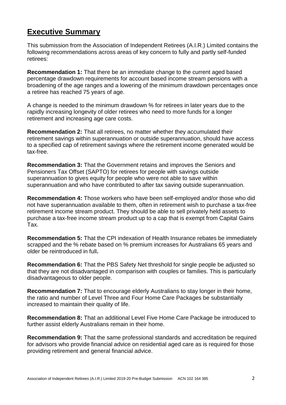## **Executive Summary**

This submission from the Association of Independent Retirees (A.I.R.) Limited contains the following recommendations across areas of key concern to fully and partly self-funded retirees:

**Recommendation 1:** That there be an immediate change to the current aged based percentage drawdown requirements for account based income stream pensions with a broadening of the age ranges and a lowering of the minimum drawdown percentages once a retiree has reached 75 years of age.

A change is needed to the minimum drawdown % for retirees in later years due to the rapidly increasing longevity of older retirees who need to more funds for a longer retirement and increasing age care costs.

**Recommendation 2:** That all retirees, no matter whether they accumulated their retirement savings within superannuation or outside superannuation, should have access to a specified cap of retirement savings where the retirement income generated would be tax-free.

**Recommendation 3:** That the Government retains and improves the Seniors and Pensioners Tax Offset (SAPTO) for retirees for people with savings outside superannuation to gives equity for people who were not able to save within superannuation and who have contributed to after tax saving outside superannuation.

**Recommendation 4:** Those workers who have been self-employed and/or those who did not have superannuation available to them, often in retirement wish to purchase a tax-free retirement income stream product. They should be able to sell privately held assets to purchase a tax-free income stream product up to a cap that is exempt from Capital Gains Tax.

**Recommendation 5:** That the CPI indexation of Health Insurance rebates be immediately scrapped and the % rebate based on % premium increases for Australians 65 years and older be reintroduced in full**.**

**Recommendation 6:** That the PBS Safety Net threshold for single people be adjusted so that they are not disadvantaged in comparison with couples or families. This is particularly disadvantageous to older people.

**Recommendation 7:** That to encourage elderly Australians to stay longer in their home, the ratio and number of Level Three and Four Home Care Packages be substantially increased to maintain their quality of life.

**Recommendation 8:** That an additional Level Five Home Care Package be introduced to further assist elderly Australians remain in their home.

**Recommendation 9:** That the same professional standards and accreditation be required for advisors who provide financial advice on residential aged care as is required for those providing retirement and general financial advice.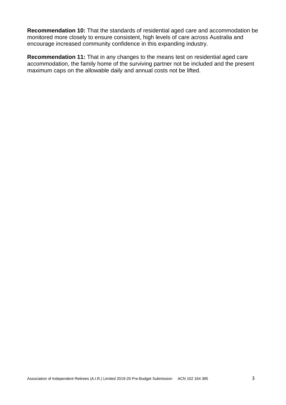**Recommendation 10:** That the standards of residential aged care and accommodation be monitored more closely to ensure consistent, high levels of care across Australia and encourage increased community confidence in this expanding industry.

**Recommendation 11:** That in any changes to the means test on residential aged care accommodation, the family home of the surviving partner not be included and the present maximum caps on the allowable daily and annual costs not be lifted.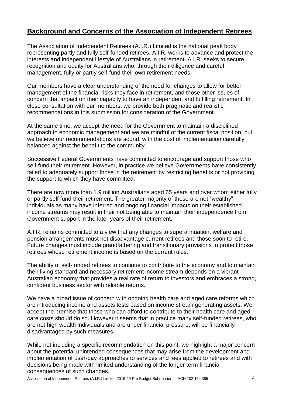#### **Background and Concerns of the Association of Independent Retirees**

The Association of Independent Retirees (A.I.R.) Limited is the national peak body representing partly and fully self-funded retirees. A.I.R. works to advance and protect the interests and independent lifestyle of Australians in retirement. A.I.R. seeks to secure recognition and equity for Australians who, through their diligence and careful management, fully or partly self-fund their own retirement needs

Our members have a clear understanding of the need for changes to allow for better management of the financial risks they face in retirement, and those other issues of concern that impact on their capacity to have an independent and fulfilling retirement. In close consultation with our members, we provide both pragmatic and realistic recommendations in this submission for consideration of the Government.

At the same time, we accept the need for the Government to maintain a disciplined approach to economic management and we are mindful of the current fiscal position, but we believe our recommendations are sound, with the cost of implementation carefully balanced against the benefit to the community.

Successive Federal Governments have committed to encourage and support those who self-fund their retirement. However, in practice we believe Governments have consistently failed to adequately support those in the retirement by restricting benefits or not providing the support to which they have committed.

There are now more than 1.9 million Australians aged 65 years and over whom either fully or partly self fund their retirement. The greater majority of these are not "wealthy" individuals as many have inferred and ongoing financial impacts on their established income streams may result in their not being able to maintain their independence from Government support in the later years of their retirement.

A.I.R. remains committed to a view that any changes to superannuation, welfare and pension arrangements must not disadvantage current retirees and those soon to retire. Future changes must include grandfathering and transitionary provisions to protect those retirees whose retirement income is based on the current rules.

The ability of self-funded retirees to continue to contribute to the economy and to maintain their living standard and necessary retirement income stream depends on a vibrant Australian economy that provides a real rate of return to investors and embraces a strong, confident business sector with reliable returns.

We have a broad issue of concern with ongoing health care and aged care reforms which are introducing income and assets tests based on income stream generating assets. We accept the premise that those who can afford to contribute to their health care and aged care costs should do so. However it seems that in practice many self-funded retirees, who are not high wealth individuals and are under financial pressure, will be financially disadvantaged by such measures.

While not including a specific recommendation on this point, we highlight a major concern about the potential unintended consequences that may arise from the development and implementation of user-pay approaches to services and fees applied to retirees and with decisions being made with limited understanding of the longer term financial consequences of such changes.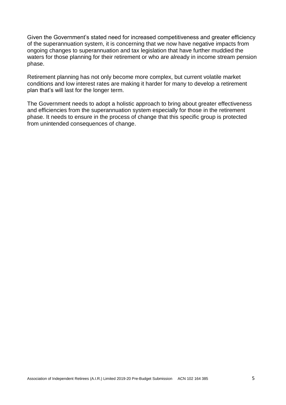Given the Government's stated need for increased competitiveness and greater efficiency of the superannuation system, it is concerning that we now have negative impacts from ongoing changes to superannuation and tax legislation that have further muddied the waters for those planning for their retirement or who are already in income stream pension phase.

Retirement planning has not only become more complex, but current volatile market conditions and low interest rates are making it harder for many to develop a retirement plan that's will last for the longer term.

The Government needs to adopt a holistic approach to bring about greater effectiveness and efficiencies from the superannuation system especially for those in the retirement phase. It needs to ensure in the process of change that this specific group is protected from unintended consequences of change.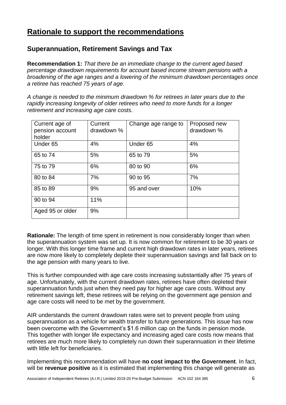## **Rationale to support the recommendations**

#### **Superannuation, Retirement Savings and Tax**

**Recommendation 1:** *That there be an immediate change to the current aged based percentage drawdown requirements for account based income stream pensions with a broadening of the age ranges and a lowering of the minimum drawdown percentages once a retiree has reached 75 years of age.* 

*A change is needed to the minimum drawdown % for retirees in later years due to the rapidly increasing longevity of older retirees who need to more funds for a longer retirement and increasing age care costs.*

| Current age of<br>pension account<br>holder | Current<br>drawdown % | Change age range to | Proposed new<br>drawdown % |
|---------------------------------------------|-----------------------|---------------------|----------------------------|
| Under <sub>65</sub>                         | 4%                    | Under <sub>65</sub> | 4%                         |
| 65 to 74                                    | 5%                    | 65 to 79            | 5%                         |
| 75 to 79                                    | 6%                    | 80 to 90            | 6%                         |
| 80 to 84                                    | 7%                    | 90 to 95            | 7%                         |
| 85 to 89                                    | 9%                    | 95 and over         | 10%                        |
| 90 to 94                                    | 11%                   |                     |                            |
| Aged 95 or older                            | 9%                    |                     |                            |

**Rationale:** The length of time spent in retirement is now considerably longer than when the superannuation system was set up. It is now common for retirement to be 30 years or longer. With this longer time frame and current high drawdown rates in later years, retirees are now more likely to completely deplete their superannuation savings and fall back on to the age pension with many years to live.

This is further compounded with age care costs increasing substantially after 75 years of age. Unfortunately, with the current drawdown rates, retirees have often depleted their superannuation funds just when they need pay for higher age care costs. Without any retirement savings left, these retirees will be relying on the government age pension and age care costs will need to be met by the government.

AIR understands the current drawdown rates were set to prevent people from using superannuation as a vehicle for wealth transfer to future generations. This issue has now been overcome with the Government's \$1.6 million cap on the funds in pension mode. This together with longer life expectancy and increasing aged care costs now means that retirees are much more likely to completely run down their superannuation in their lifetime with little left for beneficiaries.

Implementing this recommendation will have **no cost impact to the Government**. In fact, will be **revenue positive** as it is estimated that implementing this change will generate as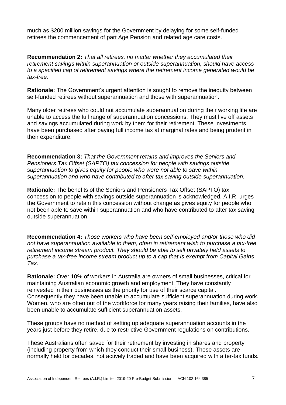much as \$200 million savings for the Government by delaying for some self-funded retirees the commencement of part Age Pension and related age care costs.

**Recommendation 2:** *That all retirees, no matter whether they accumulated their retirement savings within superannuation or outside superannuation, should have access to a specified cap of retirement savings where the retirement income generated would be tax-free.*

**Rationale:** The Government's urgent attention is sought to remove the inequity between self-funded retirees without superannuation and those with superannuation.

Many older retirees who could not accumulate superannuation during their working life are unable to access the full range of superannuation concessions. They must live off assets and savings accumulated during work by them for their retirement. These investments have been purchased after paying full income tax at marginal rates and being prudent in their expenditure.

**Recommendation 3:** *That the Government retains and improves the Seniors and Pensioners Tax Offset (SAPTO) tax concession for people with savings outside superannuation to gives equity for people who were not able to save within superannuation and who have contributed to after tax saving outside superannuation.* 

**Rationale:** The benefits of the Seniors and Pensioners Tax Offset (SAPTO) tax concession to people with savings outside superannuation is acknowledged. A.I.R. urges the Government to retain this concession without change as gives equity for people who not been able to save within superannuation and who have contributed to after tax saving outside superannuation.

**Recommendation 4:** *Those workers who have been self-employed and/or those who did not have superannuation available to them, often in retirement wish to purchase a tax-free retirement income stream product. They should be able to sell privately held assets to purchase a tax-free income stream product up to a cap that is exempt from Capital Gains Tax.* 

**Rationale:** Over 10% of workers in Australia are owners of small businesses, critical for maintaining Australian economic growth and employment. They have constantly reinvested in their businesses as the priority for use of their scarce capital. Consequently they have been unable to accumulate sufficient superannuation during work. Women, who are often out of the workforce for many years raising their families, have also been unable to accumulate sufficient superannuation assets.

These groups have no method of setting up adequate superannuation accounts in the years just before they retire, due to restrictive Government regulations on contributions.

These Australians often saved for their retirement by investing in shares and property (including property from which they conduct their small business). These assets are normally held for decades, not actively traded and have been acquired with after-tax funds.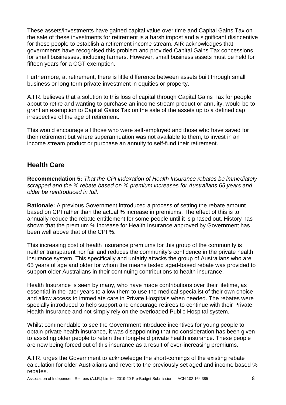These assets/investments have gained capital value over time and Capital Gains Tax on the sale of these investments for retirement is a harsh impost and a significant disincentive for these people to establish a retirement income stream. AIR acknowledges that governments have recognised this problem and provided Capital Gains Tax concessions for small businesses, including farmers. However, small business assets must be held for fifteen years for a CGT exemption.

Furthermore, at retirement, there is little difference between assets built through small business or long term private investment in equities or property.

A.I.R. believes that a solution to this loss of capital through Capital Gains Tax for people about to retire and wanting to purchase an income stream product or annuity, would be to grant an exemption to Capital Gains Tax on the sale of the assets up to a defined cap irrespective of the age of retirement.

This would encourage all those who were self-employed and those who have saved for their retirement but where superannuation was not available to them, to invest in an income stream product or purchase an annuity to self-fund their retirement.

#### **Health Care**

**Recommendation 5:** *That the CPI indexation of Health Insurance rebates be immediately scrapped and the % rebate based on % premium increases for Australians 65 years and older be reintroduced in full.*

**Rationale:** A previous Government introduced a process of setting the rebate amount based on CPI rather than the actual % increase in premiums. The effect of this is to annually reduce the rebate entitlement for some people until it is phased out. History has shown that the premium % increase for Health Insurance approved by Government has been well above that of the CPI %.

This increasing cost of health insurance premiums for this group of the community is neither transparent nor fair and reduces the community's confidence in the private health insurance system. This specifically and unfairly attacks the group of Australians who are 65 years of age and older for whom the means tested aged-based rebate was provided to support older Australians in their continuing contributions to health insurance.

Health Insurance is seen by many, who have made contributions over their lifetime, as essential in the later years to allow them to use the medical specialist of their own choice and allow access to immediate care in Private Hospitals when needed. The rebates were specially introduced to help support and encourage retirees to continue with their Private Health Insurance and not simply rely on the overloaded Public Hospital system.

Whilst commendable to see the Government introduce incentives for young people to obtain private health insurance, it was disappointing that no consideration has been given to assisting older people to retain their long-held private health insurance. These people are now being forced out of this insurance as a result of ever-increasing premiums.

A.I.R. urges the Government to acknowledge the short-comings of the existing rebate calculation for older Australians and revert to the previously set aged and income based % rebates.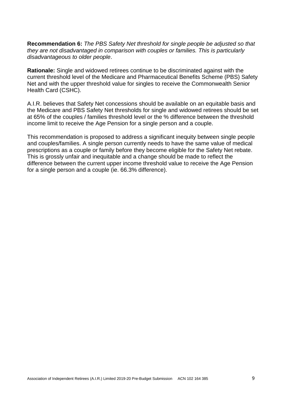**Recommendation 6:** *The PBS Safety Net threshold for single people be adjusted so that they are not disadvantaged in comparison with couples or families. This is particularly disadvantageous to older people*.

**Rationale:** Single and widowed retirees continue to be discriminated against with the current threshold level of the Medicare and Pharmaceutical Benefits Scheme (PBS) Safety Net and with the upper threshold value for singles to receive the Commonwealth Senior Health Card (CSHC).

A.I.R. believes that Safety Net concessions should be available on an equitable basis and the Medicare and PBS Safety Net thresholds for single and widowed retirees should be set at 65% of the couples / families threshold level or the % difference between the threshold income limit to receive the Age Pension for a single person and a couple.

This recommendation is proposed to address a significant inequity between single people and couples/families. A single person currently needs to have the same value of medical prescriptions as a couple or family before they become eligible for the Safety Net rebate. This is grossly unfair and inequitable and a change should be made to reflect the difference between the current upper income threshold value to receive the Age Pension for a single person and a couple (ie. 66.3% difference).